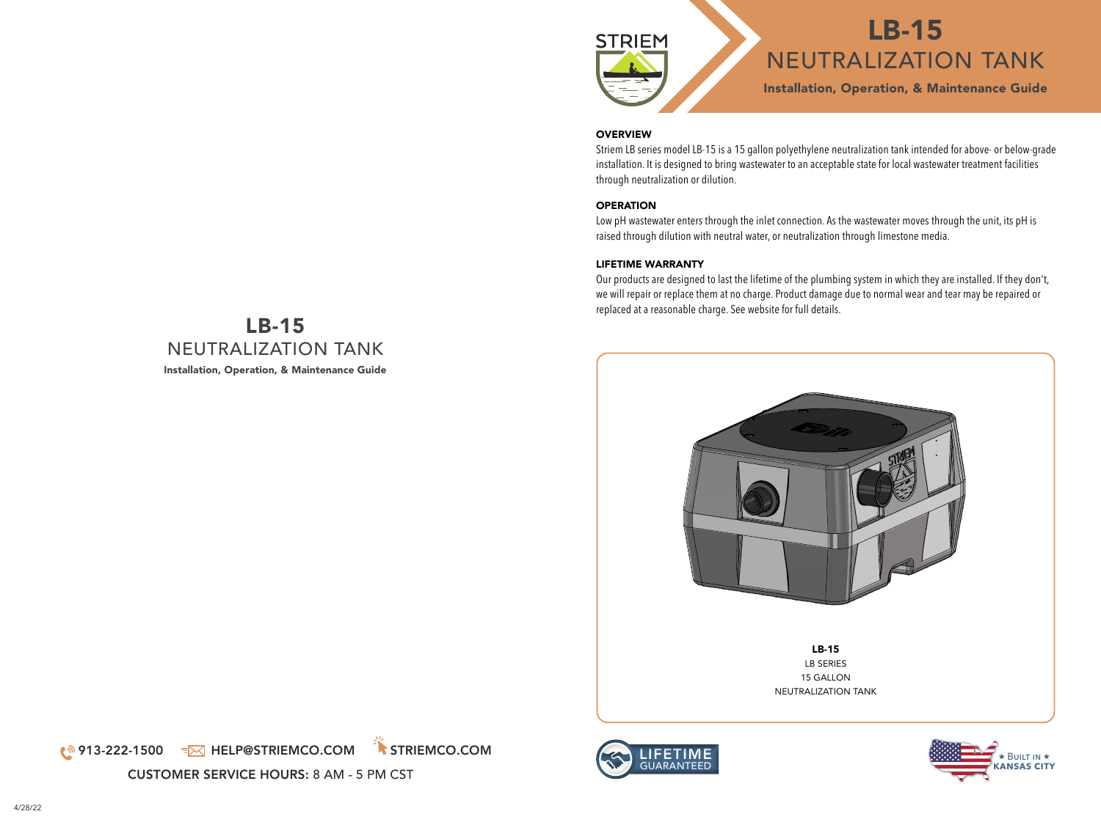

### **OVERVIEW**

Striem LB series model LB-15 is a 15 gallon polyethylene neutralization tank intended for above- or below-grade installation. It is designed to bring wastewater to an acceptable state for local wastewater treatment facilities through neutralization or dilution.

## **OPERATION**

Low pH wastewater enters through the inlet connection. As the wastewater moves through the unit, its pH is raised through dilution with neutral water, or neutralization through limestone media.

### LIFETIME WARRANTY

Our products are designed to last the lifetime of the plumbing system in which they are installed. If they don't, we will repair or replace them at no charge. Product damage due to normal wear and tear may be repaired or replaced at a reasonable charge. See website for full details.







# LB-15 NEUTRALIZATION TANK Installation, Operation, & Maintenance Guide

(<sup>1</sup>913-222-1500 =⊠ HELP@STRIEMCO.COM STRIEMCO.COM

CUSTOMER SERVICE HOURS: 8 AM - 5 PM CST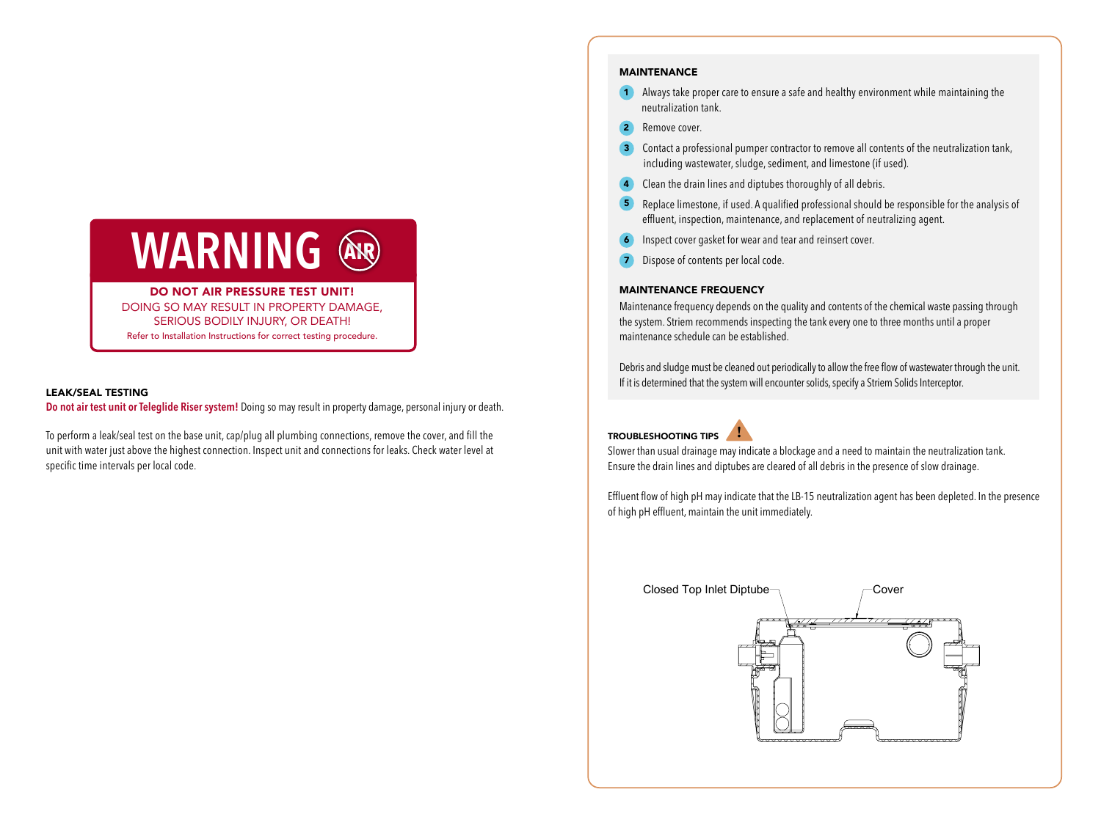

DO NOT AIR PRESSURE TEST UNIT! DOING SO MAY RESULT IN PROPERTY DAMAGE, SERIOUS BODILY INJURY, OR DEATH! Refer to Installation Instructions for correct testing procedure.

### LEAK/SEAL TESTING

**Do not air test unit or Teleglide Riser system!** Doing so may result in property damage, personal injury or death.

To perform a leak/seal test on the base unit, cap/plug all plumbing connections, remove the cover, and fill the unit with water just above the highest connection. Inspect unit and connections for leaks. Check water level at specific time intervals per local code.

### MAINTENANCE

- <sup>1</sup> Always take proper care to ensure a safe and healthy environment while maintaining the neutralization tank.
- <sup>2</sup> Remove cover.
- **3** Contact a professional pumper contractor to remove all contents of the neutralization tank, including wastewater, sludge, sediment, and limestone (if used).
- **4** Clean the drain lines and diptubes thoroughly of all debris.
- <sup>5</sup> Replace limestone, if used. A qualified professional should be responsible for the analysis of effluent, inspection, maintenance, and replacement of neutralizing agent.
- <sup>6</sup> Inspect cover gasket for wear and tear and reinsert cover.
- <sup>7</sup> Dispose of contents per local code.

MAINTENANCE FREQUENCY<br>Maintenance frequency depends on the quality and contents of the chemical waste passing through the system. Striem recommends inspecting the tank every one to three months until a proper maintenance schedule can be established.

Debris and sludge must be cleaned out periodically to allow the free flow of wastewater through the unit. If it is determined that the system will encounter solids, specify a Striem Solids Interceptor.

### TROUBLESHOOTING TIPS **!**



Slower than usual drainage may indicate a blockage and a need to maintain the neutralization tank. Ensure the drain lines and diptubes are cleared of all debris in the presence of slow drainage.

Effluent flow of high pH may indicate that the LB-15 neutralization agent has been depleted. In the presence of high pH effluent, maintain the unit immediately.